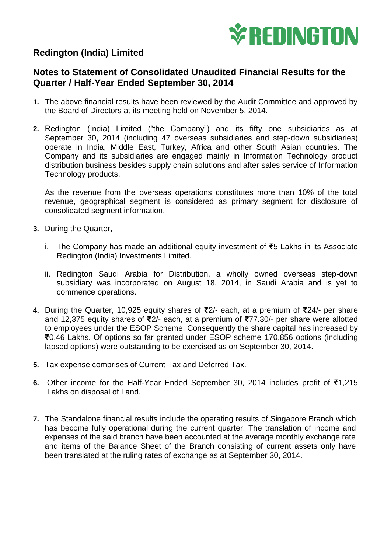

## **Redington (India) Limited**

## **Notes to Statement of Consolidated Unaudited Financial Results for the Quarter / Half-Year Ended September 30, 2014**

- **1.** The above financial results have been reviewed by the Audit Committee and approved by the Board of Directors at its meeting held on November 5, 2014.
- **2.** Redington (India) Limited ("the Company") and its fifty one subsidiaries as at September 30, 2014 (including 47 overseas subsidiaries and step-down subsidiaries) operate in India, Middle East, Turkey, Africa and other South Asian countries. The Company and its subsidiaries are engaged mainly in Information Technology product distribution business besides supply chain solutions and after sales service of Information Technology products.

As the revenue from the overseas operations constitutes more than 10% of the total revenue, geographical segment is considered as primary segment for disclosure of consolidated segment information.

- **3.** During the Quarter,
	- i. The Company has made an additional equity investment of **₹**5 Lakhs in its Associate Redington (India) Investments Limited.
	- ii. Redington Saudi Arabia for Distribution, a wholly owned overseas step-down subsidiary was incorporated on August 18, 2014, in Saudi Arabia and is yet to commence operations.
- **4.** During the Quarter, 10,925 equity shares of **₹**2/- each, at a premium of **₹**24/- per share and 12,375 equity shares of **₹**2/- each, at a premium of **₹**77.30/- per share were allotted to employees under the ESOP Scheme. Consequently the share capital has increased by **₹**0.46 Lakhs. Of options so far granted under ESOP scheme 170,856 options (including lapsed options) were outstanding to be exercised as on September 30, 2014.
- **5.** Tax expense comprises of Current Tax and Deferred Tax.
- **6.** Other income for the Half-Year Ended September 30, 2014 includes profit of ₹1,215 Lakhs on disposal of Land.
- **7.** The Standalone financial results include the operating results of Singapore Branch which has become fully operational during the current quarter. The translation of income and expenses of the said branch have been accounted at the average monthly exchange rate and items of the Balance Sheet of the Branch consisting of current assets only have been translated at the ruling rates of exchange as at September 30, 2014.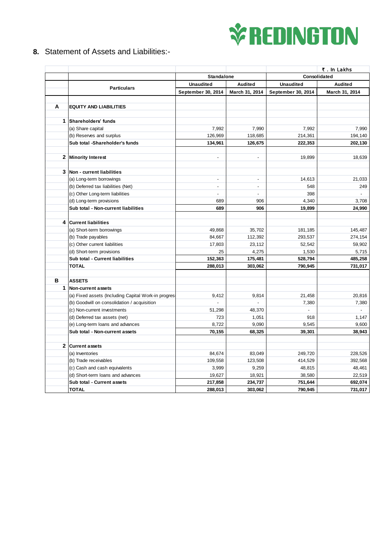

**8.** Statement of Assets and Liabilities:-

|              |                                                     |                          |                |                    | ₹. In Lakhs    |
|--------------|-----------------------------------------------------|--------------------------|----------------|--------------------|----------------|
|              |                                                     | <b>Standalone</b>        |                | Consolidated       |                |
|              | <b>Particulars</b>                                  | <b>Unaudited</b>         | Audited        | <b>Unaudited</b>   | <b>Audited</b> |
|              |                                                     | September 30, 2014       | March 31, 2014 | September 30, 2014 | March 31, 2014 |
|              |                                                     |                          |                |                    |                |
| A            | <b>EQUITY AND LIABILITIES</b>                       |                          |                |                    |                |
|              |                                                     |                          |                |                    |                |
| 1            | Shareholders' funds                                 |                          |                |                    |                |
|              | (a) Share capital                                   | 7,992                    | 7,990          | 7,992              | 7,990          |
|              | (b) Reserves and surplus                            | 126,969                  | 118,685        | 214,361            | 194,140        |
|              | Sub total -Shareholder's funds                      | 134,961                  | 126,675        | 222,353            | 202,130        |
|              | 2 Minority Interest                                 | $\overline{a}$           | $\blacksquare$ | 19,899             | 18,639         |
|              |                                                     |                          |                |                    |                |
| 3            | Non - current liabilities                           |                          |                |                    |                |
|              | (a) Long-term borrowings                            | $\overline{a}$           | $\overline{a}$ | 14,613             | 21,033         |
|              | (b) Deferred tax liabilities (Net)                  | $\overline{a}$           | $\sim$         | 548                | 249            |
|              | (c) Other Long-term liabilities                     | $\overline{\phantom{a}}$ | $\blacksquare$ | 398                |                |
|              | (d) Long-term provisions                            | 689                      | 906            | 4,340              | 3,708          |
|              | Sub total - Non-current liabilities                 | 689                      | 906            | 19,899             | 24,990         |
|              |                                                     |                          |                |                    |                |
| 4            | <b>Current liabilities</b>                          |                          |                |                    |                |
|              | (a) Short-term borrowings                           | 49,868                   | 35,702         | 181,185            | 145,487        |
|              | (b) Trade payables                                  | 84,667                   | 112,392        | 293,537            | 274,154        |
|              | (c) Other current liabilities                       | 17,803                   | 23,112         | 52,542             | 59,902         |
|              | (d) Short-term provisions                           | 25                       | 4,275          | 1,530              | 5,715          |
|              | Sub total - Current liabilities                     | 152,363                  | 175,481        | 528,794            | 485,258        |
|              | <b>TOTAL</b>                                        | 288,013                  | 303,062        | 790,945            | 731,017        |
| в            | <b>ASSETS</b>                                       |                          |                |                    |                |
| $\mathbf{1}$ | <b>Non-current assets</b>                           |                          |                |                    |                |
|              | (a) Fixed assets (Including Capital Work-in progres | 9,412                    | 9,814          | 21,458             | 20,816         |
|              | (b) Goodwill on consolidation / acquisition         | $\sim$                   | $\blacksquare$ | 7,380              | 7,380          |
|              | (c) Non-current investments                         | 51,298                   | 48,370         |                    |                |
|              | (d) Deferred tax assets (net)                       | 723                      | 1,051          | 918                | 1,147          |
|              | (e) Long-term loans and advances                    | 8,722                    | 9,090          | 9,545              | 9,600          |
|              | Sub total - Non-current assets                      | 70,155                   | 68,325         | 39,301             | 38,943         |
|              |                                                     |                          |                |                    |                |
| $\mathbf{2}$ | <b>Current assets</b>                               |                          |                |                    |                |
|              | (a) Inventories                                     | 84,674                   | 83,049         | 249,720            | 228,526        |
|              | (b) Trade receivables                               | 109,558                  | 123,508        | 414,529            | 392,568        |
|              | (c) Cash and cash equivalents                       | 3,999                    | 9,259          | 48,815             | 48,461         |
|              | (d) Short-term loans and advances                   | 19,627                   | 18,921         | 38,580             | 22,519         |
|              | Sub total - Current assets                          | 217,858                  | 234,737        | 751,644            | 692,074        |
|              | <b>TOTAL</b>                                        | 288,013                  | 303,062        | 790,945            | 731,017        |